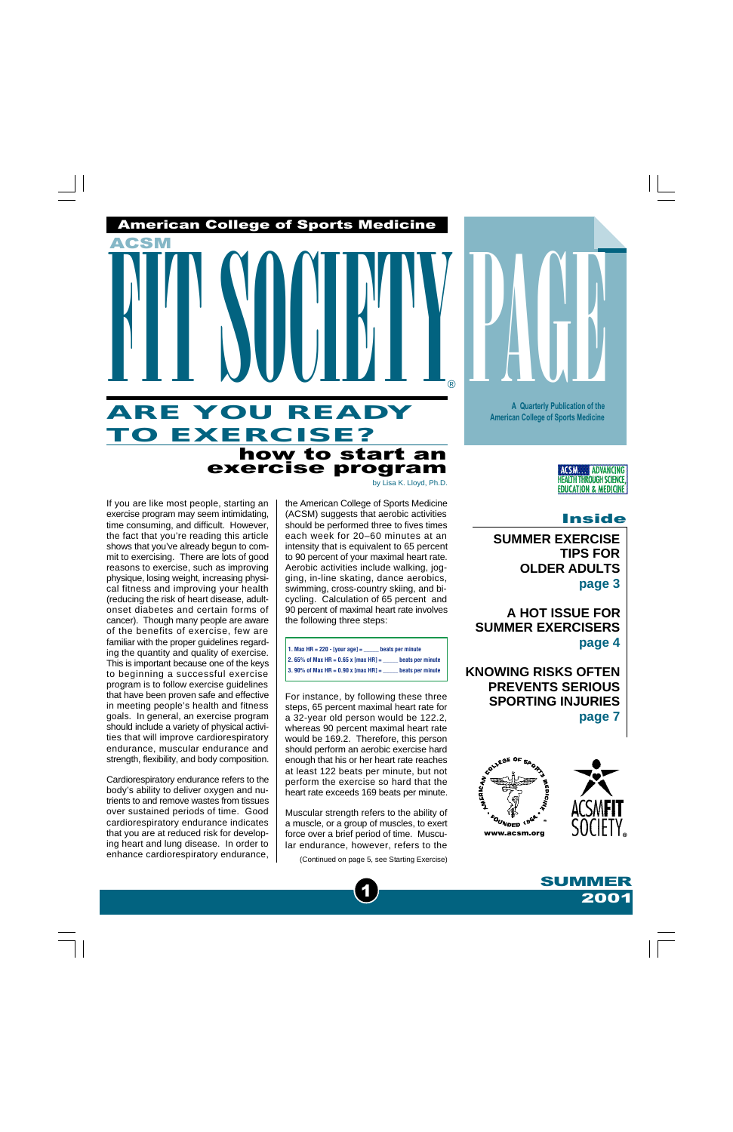# how to start an exercise program **ARE YOU READY TO EXERCISE?** FIT SOCIETY PAGE

American College of Sports Medicine

If you are like most people, starting an exercise program may seem intimidating, time consuming, and difficult. However, the fact that you're reading this article shows that you've already begun to commit to exercising. There are lots of good reasons to exercise, such as improving physique, losing weight, increasing physical fitness and improving your health (reducing the risk of heart disease, adultonset diabetes and certain forms of cancer). Though many people are aware of the benefits of exercise, few are familiar with the proper guidelines regarding the quantity and quality of exercise. This is important because one of the keys to beginning a successful exercise program is to follow exercise guidelines that have been proven safe and effective in meeting people's health and fitness goals. In general, an exercise program should include a variety of physical activities that will improve cardiorespiratory endurance, muscular endurance and strength, flexibility, and body composition.

ACSM

Cardiorespiratory endurance refers to the body's ability to deliver oxygen and nutrients to and remove wastes from tissues over sustained periods of time. Good cardiorespiratory endurance indicates that you are at reduced risk for developing heart and lung disease. In order to enhance cardiorespiratory endurance, by Lisa K. Lloyd, Ph.D.

®

the American College of Sports Medicine (ACSM) suggests that aerobic activities should be performed three to fives times each week for 20–60 minutes at an intensity that is equivalent to 65 percent to 90 percent of your maximal heart rate. Aerobic activities include walking, jogging, in-line skating, dance aerobics, swimming, cross-country skiing, and bicycling. Calculation of 65 percent and 90 percent of maximal heart rate involves the following three steps:

A Quarterly Publication of the American College of Sports Medicine • www.acsm.org Summer 2001

| 1. Max HR = $220 - [$ your age] =      | beats per minute |
|----------------------------------------|------------------|
| 2. 65% of Max HR = $0.65$ x [max HR] = | beats per minute |
| 3. 90% of Max HR = $0.90x$ [max HR] =  | beats per minute |

For instance, by following these three steps, 65 percent maximal heart rate for a 32-year old person would be 122.2, whereas 90 percent maximal heart rate would be 169.2. Therefore, this person should perform an aerobic exercise hard enough that his or her heart rate reaches at least 122 beats per minute, but not perform the exercise so hard that the heart rate exceeds 169 beats per minute.

Muscular strength refers to the ability of a muscle, or a group of muscles, to exert force over a brief period of time. Muscular endurance, however, refers to the

1

[\(Continued on page 5, see Starting Exercise\)](#page-4-0)

Inside

**ACSM... ADVANCING HEALTH THROUGH SCIENCE EDUCATION & MEDICINE** 

**[SUMMER EXERCISE](#page-2-0) TIPS FOR OLDER ADULTS page 3**

**A Quarterly Publication of the American College of Sports Medicine**

**A HOT ISSUE FOR [SUMMER EXERCISERS](#page-3-0) page 4**

**[KNOWING RISKS OFTEN](#page-6-0) PREVENTS SERIOUS SPORTING INJURIES page 7**



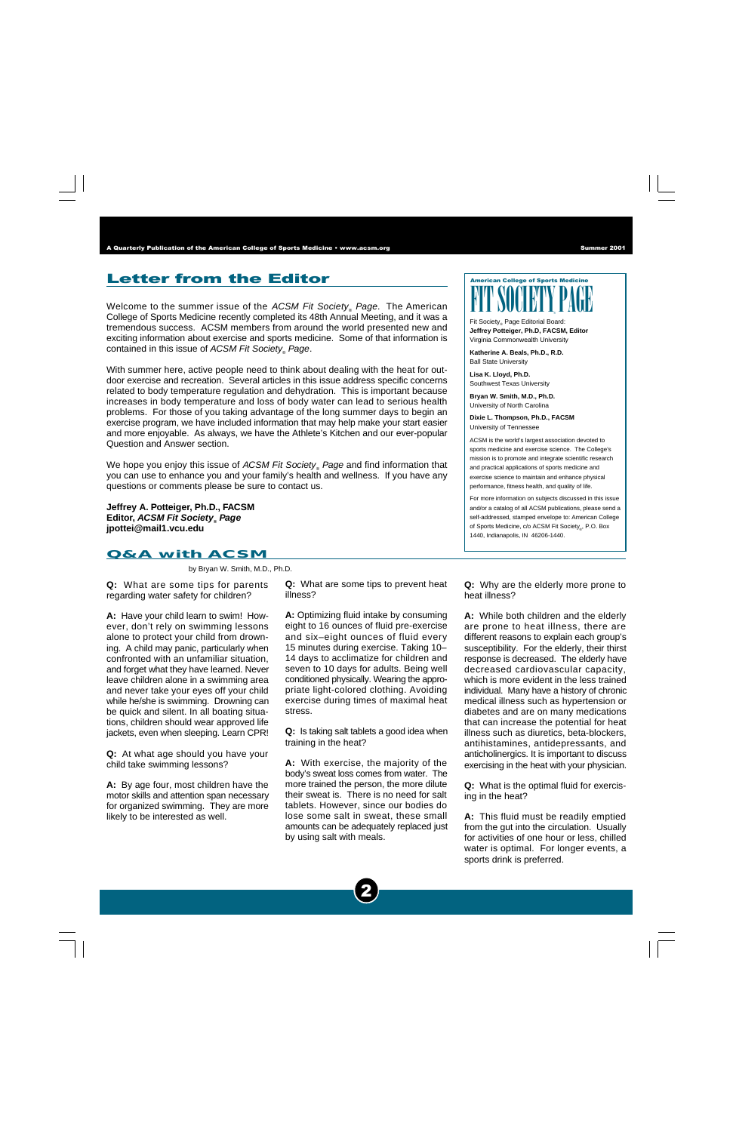### **Letter from the Editor**  $\sqrt{American College of Sports Medicine}$

Welcome to the summer issue of the *ACSM Fit Society<sub>®</sub> Page*. The American College of Sports Medicine recently completed its 48th Annual Meeting, and it was a tremendous success. ACSM members from around the world presented new and exciting information about exercise and sports medicine. Some of that information is contained in this issue of *ACSM Fit Society<sub>®</sub> Page*.

With summer here, active people need to think about dealing with the heat for outdoor exercise and recreation. Several articles in this issue address specific concerns related to body temperature regulation and dehydration. This is important because increases in body temperature and loss of body water can lead to serious health problems. For those of you taking advantage of the long summer days to begin an exercise program, we have included information that may help make your start easier and more enjoyable. As always, we have the Athlete's Kitchen and our ever-popular Question and Answer section.

We hope you enjoy this issue of *ACSM Fit Society<sub>®</sub> Page* and find information that you can use to enhance you and your family's health and wellness. If you have any questions or comments please be sure to contact us.

**Jeffrey A. Potteiger, Ph.D., FACSM Editor, ACSM Fit Society® Page jpottei@mail1.vcu.edu**

### **Q&A with ACSM**

by Bryan W. Smith, M.D., Ph.D.

**Q:** What are some tips for parents regarding water safety for children?

**A:** Have your child learn to swim! However, don't rely on swimming lessons alone to protect your child from drowning. A child may panic, particularly when confronted with an unfamiliar situation, and forget what they have learned. Never leave children alone in a swimming area and never take your eyes off your child while he/she is swimming. Drowning can be quick and silent. In all boating situations, children should wear approved life jackets, even when sleeping. Learn CPR!

**Q:** At what age should you have your child take swimming lessons?

**A:** By age four, most children have the motor skills and attention span necessary for organized swimming. They are more likely to be interested as well.

**Q:** What are some tips to prevent heat illness?

**A:** Optimizing fluid intake by consuming eight to 16 ounces of fluid pre-exercise and six–eight ounces of fluid every 15 minutes during exercise. Taking 10– 14 days to acclimatize for children and seven to 10 days for adults. Being well conditioned physically. Wearing the appropriate light-colored clothing. Avoiding exercise during times of maximal heat stress.

**Q:** Is taking salt tablets a good idea when training in the heat?

**A:** With exercise, the majority of the body's sweat loss comes from water. The more trained the person, the more dilute their sweat is. There is no need for salt tablets. However, since our bodies do lose some salt in sweat, these small amounts can be adequately replaced just by using salt with meals.



Fit Society<sub>®</sub> Page Editorial Board: **Jeffrey Potteiger, Ph.D, FACSM, Editor** Virginia Commonwealth University

**Katherine A. Beals, Ph.D., R.D.** Ball State University

**Lisa K. Lloyd, Ph.D.** Southwest Texas University

**Bryan W. Smith, M.D., Ph.D.** University of North Carolina

**Dixie L. Thompson, Ph.D., FACSM** University of Tennessee

ACSM is the world's largest association devoted to sports medicine and exercise science. The College's mission is to promote and integrate scientific research and practical applications of sports medicine and exercise science to maintain and enhance physical performance, fitness health, and quality of life.

For more information on subjects discussed in this issue and/or a catalog of all ACSM publications, please send a self-addressed, stamped envelope to: American College of Sports Medicine, c/o ACSM Fit Society<sub>®</sub>, P.O. Box 1440, Indianapolis, IN 46206-1440.

**Q:** Why are the elderly more prone to heat illness?

**A:** While both children and the elderly are prone to heat illness, there are different reasons to explain each group's susceptibility. For the elderly, their thirst response is decreased. The elderly have decreased cardiovascular capacity, which is more evident in the less trained individual. Many have a history of chronic medical illness such as hypertension or diabetes and are on many medications that can increase the potential for heat illness such as diuretics, beta-blockers, antihistamines, antidepressants, and anticholinergics. It is important to discuss exercising in the heat with your physician.

**Q:** What is the optimal fluid for exercising in the heat?

**A:** This fluid must be readily emptied from the gut into the circulation. Usually for activities of one hour or less, chilled water is optimal. For longer events, a sports drink is preferred.

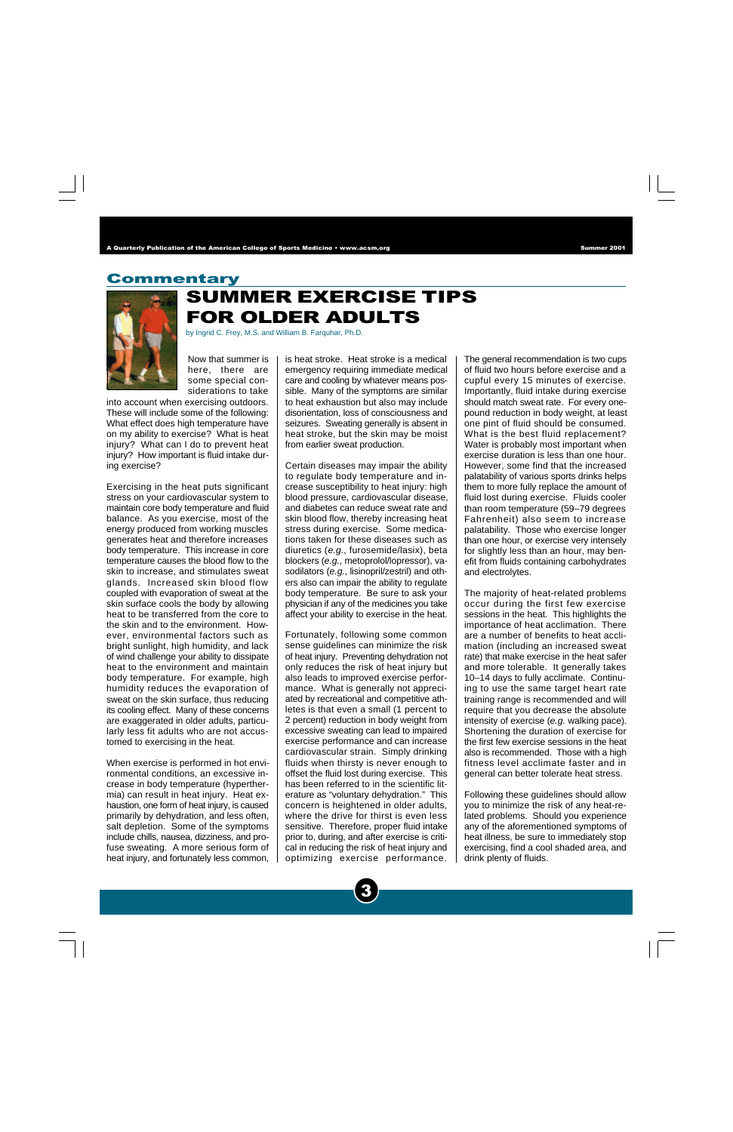### <span id="page-2-0"></span>Commentary



### SUMMER EXERCISE TIPS FOR OLDER ADULTS

by Ingrid C. Frey, M.S. and William B. Farquhar, Ph.D.

Now that summer is here, there are some special considerations to take

into account when exercising outdoors. These will include some of the following: What effect does high temperature have on my ability to exercise? What is heat injury? What can I do to prevent heat injury? How important is fluid intake during exercise?

Exercising in the heat puts significant stress on your cardiovascular system to maintain core body temperature and fluid balance. As you exercise, most of the energy produced from working muscles generates heat and therefore increases body temperature. This increase in core temperature causes the blood flow to the skin to increase, and stimulates sweat glands. Increased skin blood flow coupled with evaporation of sweat at the skin surface cools the body by allowing heat to be transferred from the core to the skin and to the environment. However, environmental factors such as bright sunlight, high humidity, and lack of wind challenge your ability to dissipate heat to the environment and maintain body temperature. For example, high humidity reduces the evaporation of sweat on the skin surface, thus reducing its cooling effect. Many of these concerns are exaggerated in older adults, particularly less fit adults who are not accustomed to exercising in the heat.

When exercise is performed in hot environmental conditions, an excessive increase in body temperature (hyperthermia) can result in heat injury. Heat exhaustion, one form of heat injury, is caused primarily by dehydration, and less often, salt depletion. Some of the symptoms include chills, nausea, dizziness, and profuse sweating. A more serious form of heat injury, and fortunately less common, is heat stroke. Heat stroke is a medical emergency requiring immediate medical care and cooling by whatever means possible. Many of the symptoms are similar to heat exhaustion but also may include disorientation, loss of consciousness and seizures. Sweating generally is absent in heat stroke, but the skin may be moist from earlier sweat production.

Certain diseases may impair the ability to regulate body temperature and increase susceptibility to heat injury: high blood pressure, cardiovascular disease, and diabetes can reduce sweat rate and skin blood flow, thereby increasing heat stress during exercise. Some medications taken for these diseases such as diuretics (e.g., furosemide/lasix), beta blockers (e.g., metoprolol/lopressor), vasodilators (e.g., lisinopril/zestril) and others also can impair the ability to regulate body temperature. Be sure to ask your physician if any of the medicines you take affect your ability to exercise in the heat.

Fortunately, following some common sense guidelines can minimize the risk of heat injury. Preventing dehydration not only reduces the risk of heat injury but also leads to improved exercise performance. What is generally not appreciated by recreational and competitive athletes is that even a small (1 percent to 2 percent) reduction in body weight from excessive sweating can lead to impaired exercise performance and can increase cardiovascular strain. Simply drinking fluids when thirsty is never enough to offset the fluid lost during exercise. This has been referred to in the scientific literature as "voluntary dehydration." This concern is heightened in older adults, where the drive for thirst is even less sensitive. Therefore, proper fluid intake prior to, during, and after exercise is critical in reducing the risk of heat injury and optimizing exercise performance.

3

The general recommendation is two cups of fluid two hours before exercise and a cupful every 15 minutes of exercise. Importantly, fluid intake during exercise should match sweat rate. For every onepound reduction in body weight, at least one pint of fluid should be consumed. What is the best fluid replacement? Water is probably most important when exercise duration is less than one hour. However, some find that the increased palatability of various sports drinks helps them to more fully replace the amount of fluid lost during exercise. Fluids cooler than room temperature (59–79 degrees Fahrenheit) also seem to increase palatability. Those who exercise longer than one hour, or exercise very intensely for slightly less than an hour, may benefit from fluids containing carbohydrates and electrolytes.

The majority of heat-related problems occur during the first few exercise sessions in the heat. This highlights the importance of heat acclimation. There are a number of benefits to heat acclimation (including an increased sweat rate) that make exercise in the heat safer and more tolerable. It generally takes 10–14 days to fully acclimate. Continuing to use the same target heart rate training range is recommended and will require that you decrease the absolute intensity of exercise (e.g. walking pace). Shortening the duration of exercise for the first few exercise sessions in the heat also is recommended. Those with a high fitness level acclimate faster and in general can better tolerate heat stress.

Following these guidelines should allow you to minimize the risk of any heat-related problems. Should you experience any of the aforementioned symptoms of heat illness, be sure to immediately stop exercising, find a cool shaded area, and drink plenty of fluids.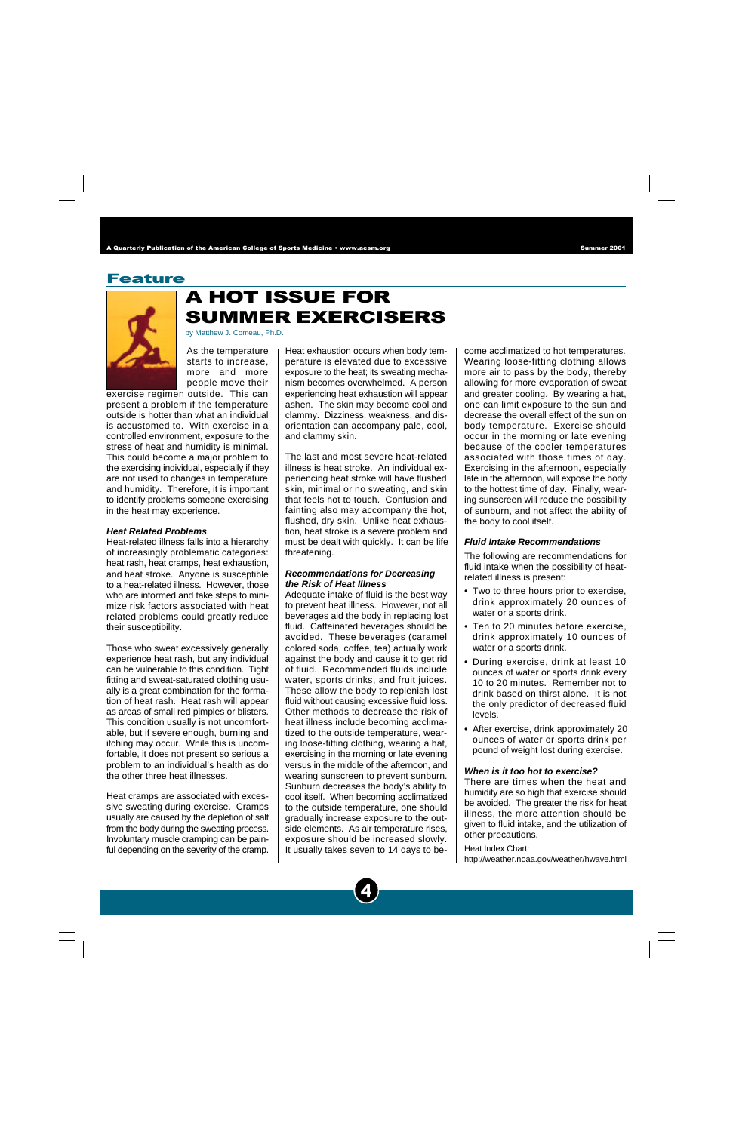### <span id="page-3-0"></span>Feature



# A HOT ISSUE FOR SUMMER EXERCISERS

by Matthew J. Comeau, Ph.D.

As the temperature starts to increase, more and more people move their

exercise regimen outside. This can present a problem if the temperature outside is hotter than what an individual is accustomed to. With exercise in a controlled environment, exposure to the stress of heat and humidity is minimal. This could become a major problem to the exercising individual, especially if they are not used to changes in temperature and humidity. Therefore, it is important to identify problems someone exercising in the heat may experience.

### **Heat Related Problems**

Heat-related illness falls into a hierarchy of increasingly problematic categories: heat rash, heat cramps, heat exhaustion, and heat stroke. Anyone is susceptible to a heat-related illness. However, those who are informed and take steps to minimize risk factors associated with heat related problems could greatly reduce their susceptibility.

Those who sweat excessively generally experience heat rash, but any individual can be vulnerable to this condition. Tight fitting and sweat-saturated clothing usually is a great combination for the formation of heat rash. Heat rash will appear as areas of small red pimples or blisters. This condition usually is not uncomfortable, but if severe enough, burning and itching may occur. While this is uncomfortable, it does not present so serious a problem to an individual's health as do the other three heat illnesses.

Heat cramps are associated with excessive sweating during exercise. Cramps usually are caused by the depletion of salt from the body during the sweating process. Involuntary muscle cramping can be painful depending on the severity of the cramp.

Heat exhaustion occurs when body temperature is elevated due to excessive exposure to the heat; its sweating mechanism becomes overwhelmed. A person experiencing heat exhaustion will appear ashen. The skin may become cool and clammy. Dizziness, weakness, and disorientation can accompany pale, cool, and clammy skin.

The last and most severe heat-related illness is heat stroke. An individual experiencing heat stroke will have flushed skin, minimal or no sweating, and skin that feels hot to touch. Confusion and fainting also may accompany the hot, flushed, dry skin. Unlike heat exhaustion, heat stroke is a severe problem and must be dealt with quickly. It can be life threatening.

### **Recommendations for Decreasing the Risk of Heat Illness**

Adequate intake of fluid is the best way to prevent heat illness. However, not all beverages aid the body in replacing lost fluid. Caffeinated beverages should be avoided. These beverages (caramel colored soda, coffee, tea) actually work against the body and cause it to get rid of fluid. Recommended fluids include water, sports drinks, and fruit juices. These allow the body to replenish lost fluid without causing excessive fluid loss. Other methods to decrease the risk of heat illness include becoming acclimatized to the outside temperature, wearing loose-fitting clothing, wearing a hat, exercising in the morning or late evening versus in the middle of the afternoon, and wearing sunscreen to prevent sunburn. Sunburn decreases the body's ability to cool itself. When becoming acclimatized to the outside temperature, one should gradually increase exposure to the outside elements. As air temperature rises, exposure should be increased slowly. It usually takes seven to 14 days to become acclimatized to hot temperatures. Wearing loose-fitting clothing allows more air to pass by the body, thereby allowing for more evaporation of sweat and greater cooling. By wearing a hat, one can limit exposure to the sun and decrease the overall effect of the sun on body temperature. Exercise should occur in the morning or late evening because of the cooler temperatures associated with those times of day. Exercising in the afternoon, especially late in the afternoon, will expose the body to the hottest time of day. Finally, wearing sunscreen will reduce the possibility of sunburn, and not affect the ability of the body to cool itself.

### **Fluid Intake Recommendations**

The following are recommendations for fluid intake when the possibility of heatrelated illness is present:

- Two to three hours prior to exercise, drink approximately 20 ounces of water or a sports drink.
- Ten to 20 minutes before exercise, drink approximately 10 ounces of water or a sports drink.
- During exercise, drink at least 10 ounces of water or sports drink every 10 to 20 minutes. Remember not to drink based on thirst alone. It is not the only predictor of decreased fluid levels.
- After exercise, drink approximately 20 ounces of water or sports drink per pound of weight lost during exercise.

#### **When is it too hot to exercise?**

There are times when the heat and humidity are so high that exercise should be avoided. The greater the risk for heat illness, the more attention should be given to fluid intake, and the utilization of other precautions.

Heat Index Chart: http://weather.noaa.gov/weather/hwave.html

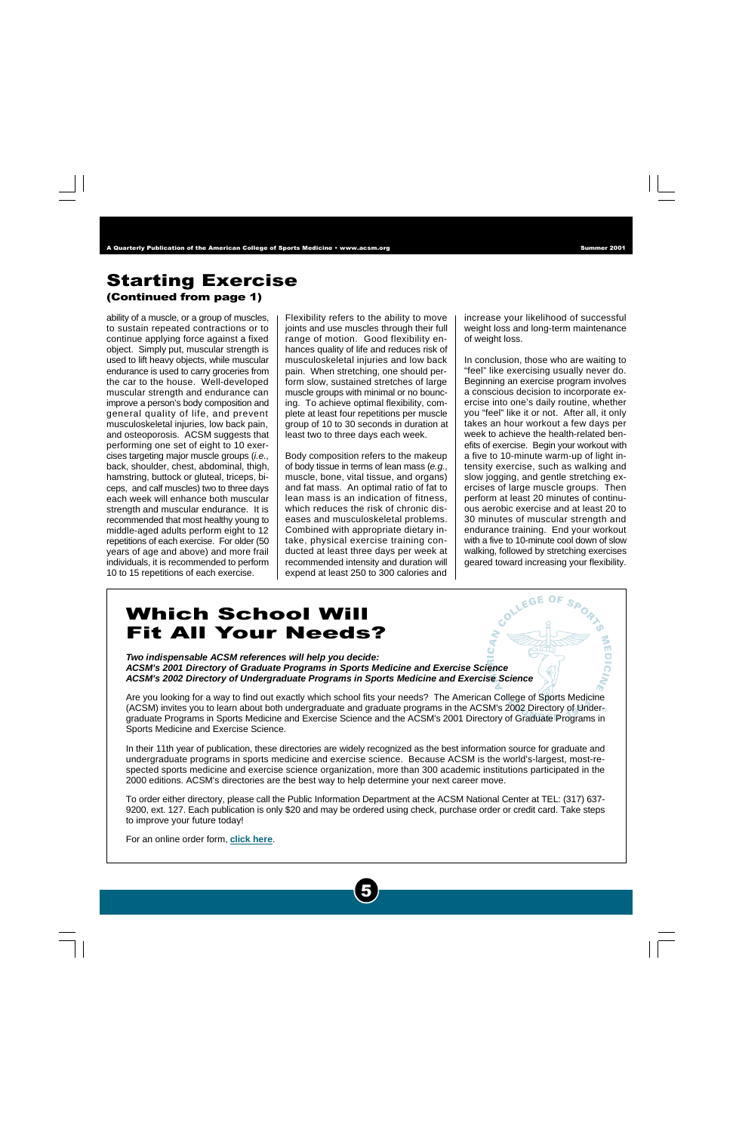### <span id="page-4-0"></span>Starting Exercise (Continued from page 1)

ability of a muscle, or a group of muscles, to sustain repeated contractions or to continue applying force against a fixed object. Simply put, muscular strength is used to lift heavy objects, while muscular endurance is used to carry groceries from the car to the house. Well-developed muscular strength and endurance can improve a person's body composition and general quality of life, and prevent musculoskeletal injuries, low back pain, and osteoporosis. ACSM suggests that performing one set of eight to 10 exercises targeting major muscle groups (i.e., back, shoulder, chest, abdominal, thigh, hamstring, buttock or gluteal, triceps, biceps, and calf muscles) two to three days each week will enhance both muscular strength and muscular endurance. It is recommended that most healthy young to middle-aged adults perform eight to 12 repetitions of each exercise. For older (50 years of age and above) and more frail individuals, it is recommended to perform 10 to 15 repetitions of each exercise.

Flexibility refers to the ability to move joints and use muscles through their full range of motion. Good flexibility enhances quality of life and reduces risk of musculoskeletal injuries and low back pain. When stretching, one should perform slow, sustained stretches of large muscle groups with minimal or no bouncing. To achieve optimal flexibility, complete at least four repetitions per muscle group of 10 to 30 seconds in duration at least two to three days each week.

Body composition refers to the makeup of body tissue in terms of lean mass (e.g., muscle, bone, vital tissue, and organs) and fat mass. An optimal ratio of fat to lean mass is an indication of fitness, which reduces the risk of chronic diseases and musculoskeletal problems. Combined with appropriate dietary intake, physical exercise training conducted at least three days per week at recommended intensity and duration will expend at least 250 to 300 calories and increase your likelihood of successful weight loss and long-term maintenance of weight loss.

In conclusion, those who are waiting to "feel" like exercising usually never do. Beginning an exercise program involves a conscious decision to incorporate exercise into one's daily routine, whether you "feel" like it or not. After all, it only takes an hour workout a few days per week to achieve the health-related benefits of exercise. Begin your workout with a five to 10-minute warm-up of light intensity exercise, such as walking and slow jogging, and gentle stretching exercises of large muscle groups. Then perform at least 20 minutes of continuous aerobic exercise and at least 20 to 30 minutes of muscular strength and endurance training. End your workout with a five to 10-minute cool down of slow walking, followed by stretching exercises geared toward increasing your flexibility.

# Which School Will Fit All Your Needs?

**Two indispensable ACSM references will help you decide: ACSM's 2001 Directory of Graduate Programs in Sports Medicine and Exercise Science ACSM's 2002 Directory of Undergraduate Programs in Sports Medicine and Exercise Science**

Are you looking for a way to find out exactly which school fits your needs? The American College of Sports Medicine (ACSM) invites you to learn about both undergraduate and graduate programs in the ACSM's 2002 Directory of Undergraduate Programs in Sports Medicine and Exercise Science and the ACSM's 2001 Directory of Graduate Programs in Sports Medicine and Exercise Science.

In their 11th year of publication, these directories are widely recognized as the best information source for graduate and undergraduate programs in sports medicine and exercise science. Because ACSM is the world's-largest, most-respected sports medicine and exercise science organization, more than 300 academic institutions participated in the 2000 editions. ACSM's directories are the best way to help determine your next career move.

To order either directory, please call the Public Information Department at the ACSM National Center at TEL: (317) 637- 9200, ext. 127. Each publication is only \$20 and may be ordered using check, purchase order or credit card. Take steps to improve your future today!

5

For an online order form, **[click](http://www.acsm.org/directories.htm) here**.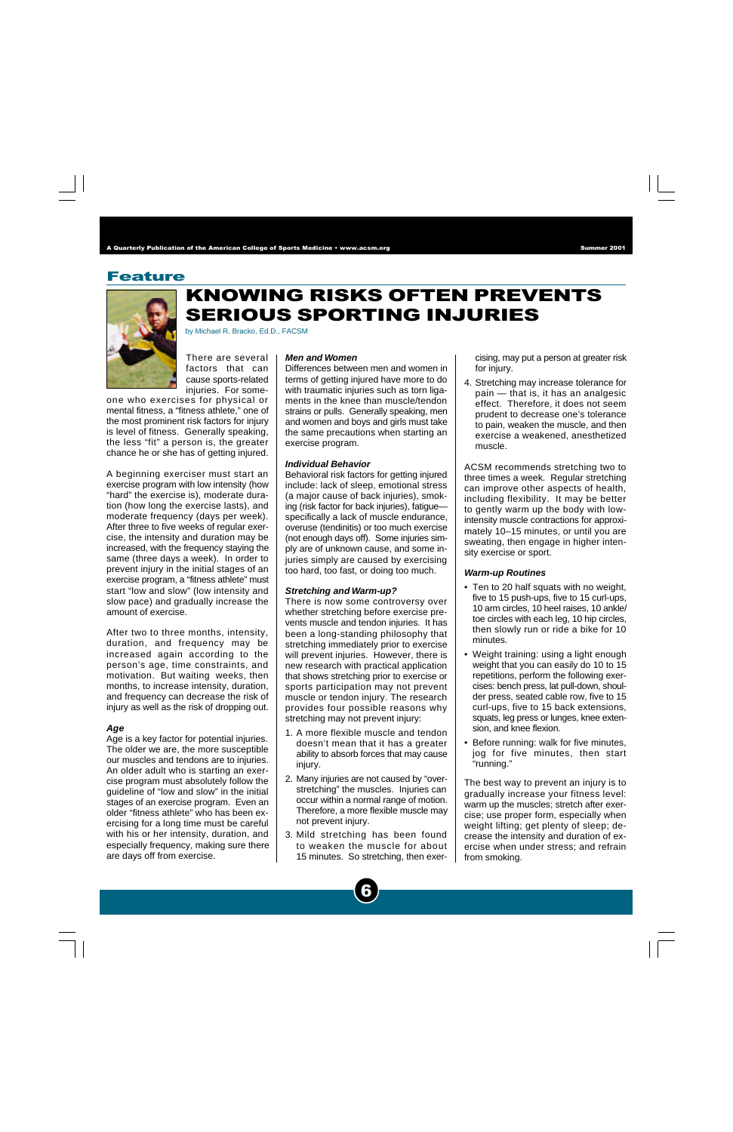### Feature



# KNOWING RISKS OFTEN PREVENTS SERIOUS SPORTING INJURIES

by Michael R. Bracko, Ed.D., FACSM

There are several factors that can cause sports-related injuries. For some-

one who exercises for physical or mental fitness, a "fitness athlete," one of the most prominent risk factors for injury is level of fitness. Generally speaking, the less "fit" a person is, the greater chance he or she has of getting injured.

A beginning exerciser must start an exercise program with low intensity (how "hard" the exercise is), moderate duration (how long the exercise lasts), and moderate frequency (days per week). After three to five weeks of regular exercise, the intensity and duration may be increased, with the frequency staying the same (three days a week). In order to prevent injury in the initial stages of an exercise program, a "fitness athlete" must start "low and slow" (low intensity and slow pace) and gradually increase the amount of exercise.

After two to three months, intensity, duration, and frequency may be increased again according to the person's age, time constraints, and motivation. But waiting weeks, then months, to increase intensity, duration, and frequency can decrease the risk of injury as well as the risk of dropping out.

#### **Age**

Age is a key factor for potential injuries. The older we are, the more susceptible our muscles and tendons are to injuries. An older adult who is starting an exercise program must absolutely follow the guideline of "low and slow" in the initial stages of an exercise program. Even an older "fitness athlete" who has been exercising for a long time must be careful with his or her intensity, duration, and especially frequency, making sure there are days off from exercise.

### **Men and Women**

Differences between men and women in terms of getting injured have more to do with traumatic injuries such as torn ligaments in the knee than muscle/tendon strains or pulls. Generally speaking, men and women and boys and girls must take the same precautions when starting an exercise program.

#### **Individual Behavior**

Behavioral risk factors for getting injured include: lack of sleep, emotional stress (a major cause of back injuries), smoking (risk factor for back injuries), fatigue specifically a lack of muscle endurance, overuse (tendinitis) or too much exercise (not enough days off). Some injuries simply are of unknown cause, and some injuries simply are caused by exercising too hard, too fast, or doing too much.

### **Stretching and Warm-up?**

There is now some controversy over whether stretching before exercise prevents muscle and tendon injuries. It has been a long-standing philosophy that stretching immediately prior to exercise will prevent injuries. However, there is new research with practical application that shows stretching prior to exercise or sports participation may not prevent muscle or tendon injury. The research provides four possible reasons why stretching may not prevent injury:

- 1. A more flexible muscle and tendon doesn't mean that it has a greater ability to absorb forces that may cause injury.
- 2. Many injuries are not caused by "overstretching" the muscles. Injuries can occur within a normal range of motion. Therefore, a more flexible muscle may not prevent injury.
- 3. Mild stretching has been found to weaken the muscle for about 15 minutes. So stretching, then exer-

6

cising, may put a person at greater risk for injury.

4. Stretching may increase tolerance for pain — that is, it has an analgesic effect. Therefore, it does not seem prudent to decrease one's tolerance to pain, weaken the muscle, and then exercise a weakened, anesthetized muscle.

ACSM recommends stretching two to three times a week. Regular stretching can improve other aspects of health, including flexibility. It may be better to gently warm up the body with lowintensity muscle contractions for approximately 10–15 minutes, or until you are sweating, then engage in higher intensity exercise or sport.

#### **Warm-up Routines**

- Ten to 20 half squats with no weight, five to 15 push-ups, five to 15 curl-ups, 10 arm circles, 10 heel raises, 10 ankle/ toe circles with each leg, 10 hip circles, then slowly run or ride a bike for 10 minutes.
- Weight training: using a light enough weight that you can easily do 10 to 15 repetitions, perform the following exercises: bench press, lat pull-down, shoulder press, seated cable row, five to 15 curl-ups, five to 15 back extensions, squats, leg press or lunges, knee extension, and knee flexion.
- Before running: walk for five minutes, jog for five minutes, then start "running."

The best way to prevent an injury is to gradually increase your fitness level: warm up the muscles; stretch after exercise; use proper form, especially when weight lifting; get plenty of sleep; decrease the intensity and duration of exercise when under stress; and refrain from smoking.